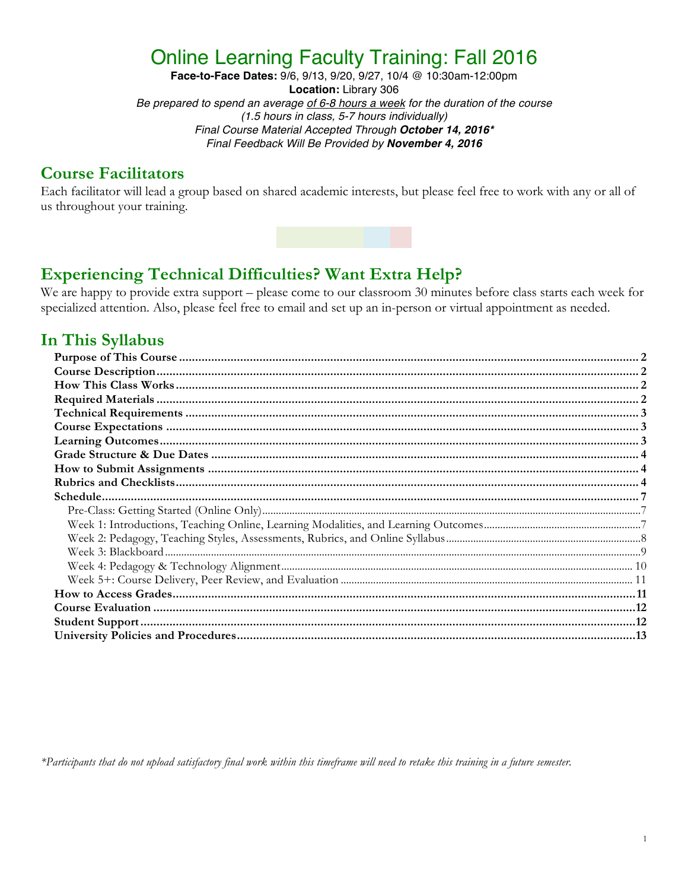# Online Learning Faculty Training: Fall 2016

**Face-to-Face Dates:** 9/6, 9/13, 9/20, 9/27, 10/4 @ 10:30am-12:00pm **Location:** Library 306 *Be prepared to spend an average of 6-8 hours a week for the duration of the course (1.5 hours in class, 5-7 hours individually) Final Course Material Accepted Through October 14, 2016\* Final Feedback Will Be Provided by November 4, 2016*

### **Course Facilitators**

Each facilitator will lead a group based on shared academic interests, but please feel free to work with any or all of us throughout your training.

## **Experiencing Technical Difficulties? Want Extra Help?**

We are happy to provide extra support – please come to our classroom 30 minutes before class starts each week for specialized attention. Also, please feel free to email and set up an in-person or virtual appointment as needed.

## **In This Syllabus**

*\*Participants that do not upload satisfactory final work within this timeframe will need to retake this training in a future semester.*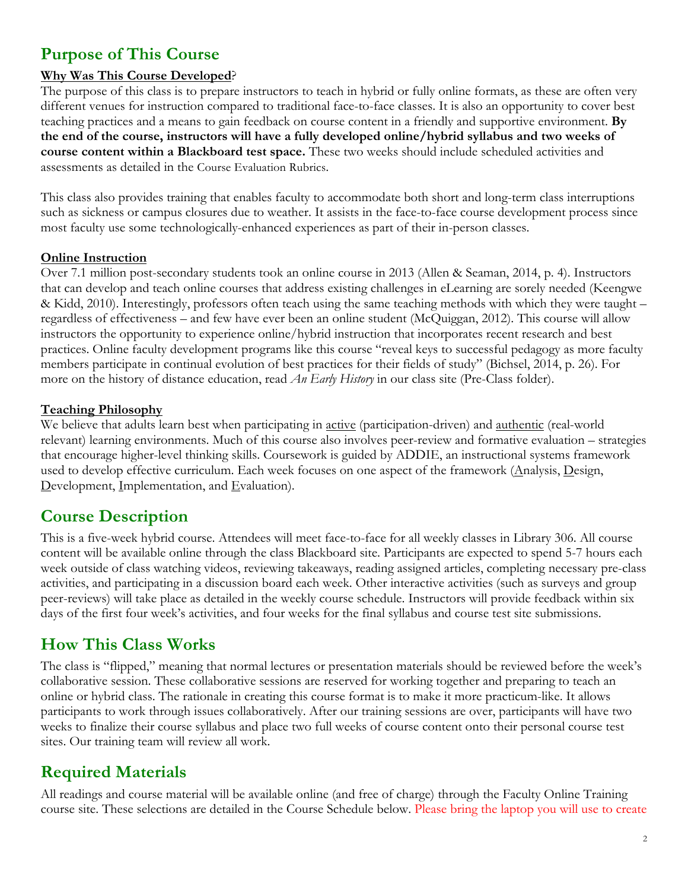## **Purpose of This Course**

#### **Why Was This Course Developed**?

The purpose of this class is to prepare instructors to teach in hybrid or fully online formats, as these are often very different venues for instruction compared to traditional face-to-face classes. It is also an opportunity to cover best teaching practices and a means to gain feedback on course content in a friendly and supportive environment. **By the end of the course, instructors will have a fully developed online/hybrid syllabus and two weeks of course content within a Blackboard test space.** These two weeks should include scheduled activities and assessments as detailed in the Course Evaluation Rubrics.

This class also provides training that enables faculty to accommodate both short and long-term class interruptions such as sickness or campus closures due to weather. It assists in the face-to-face course development process since most faculty use some technologically-enhanced experiences as part of their in-person classes.

#### **Online Instruction**

Over 7.1 million post-secondary students took an online course in 2013 (Allen & Seaman, 2014, p. 4). Instructors that can develop and teach online courses that address existing challenges in eLearning are sorely needed (Keengwe & Kidd, 2010). Interestingly, professors often teach using the same teaching methods with which they were taught – regardless of effectiveness – and few have ever been an online student (McQuiggan, 2012). This course will allow instructors the opportunity to experience online/hybrid instruction that incorporates recent research and best practices. Online faculty development programs like this course "reveal keys to successful pedagogy as more faculty members participate in continual evolution of best practices for their fields of study" (Bichsel, 2014, p. 26). For more on the history of distance education, read *An Early History* in our class site (Pre-Class folder).

#### **Teaching Philosophy**

We believe that adults learn best when participating in <u>active</u> (participation-driven) and <u>authentic</u> (real-world relevant) learning environments. Much of this course also involves peer-review and formative evaluation – strategies that encourage higher-level thinking skills. Coursework is guided by ADDIE, an instructional systems framework used to develop effective curriculum. Each week focuses on one aspect of the framework (Analysis, Design, Development, Implementation, and Evaluation).

### **Course Description**

This is a five-week hybrid course. Attendees will meet face-to-face for all weekly classes in Library 306. All course content will be available online through the class Blackboard site. Participants are expected to spend 5-7 hours each week outside of class watching videos, reviewing takeaways, reading assigned articles, completing necessary pre-class activities, and participating in a discussion board each week. Other interactive activities (such as surveys and group peer-reviews) will take place as detailed in the weekly course schedule. Instructors will provide feedback within six days of the first four week's activities, and four weeks for the final syllabus and course test site submissions.

### **How This Class Works**

The class is "flipped," meaning that normal lectures or presentation materials should be reviewed before the week's collaborative session. These collaborative sessions are reserved for working together and preparing to teach an online or hybrid class. The rationale in creating this course format is to make it more practicum-like. It allows participants to work through issues collaboratively. After our training sessions are over, participants will have two weeks to finalize their course syllabus and place two full weeks of course content onto their personal course test sites. Our training team will review all work.

### **Required Materials**

All readings and course material will be available online (and free of charge) through the Faculty Online Training course site. These selections are detailed in the Course Schedule below. Please bring the laptop you will use to create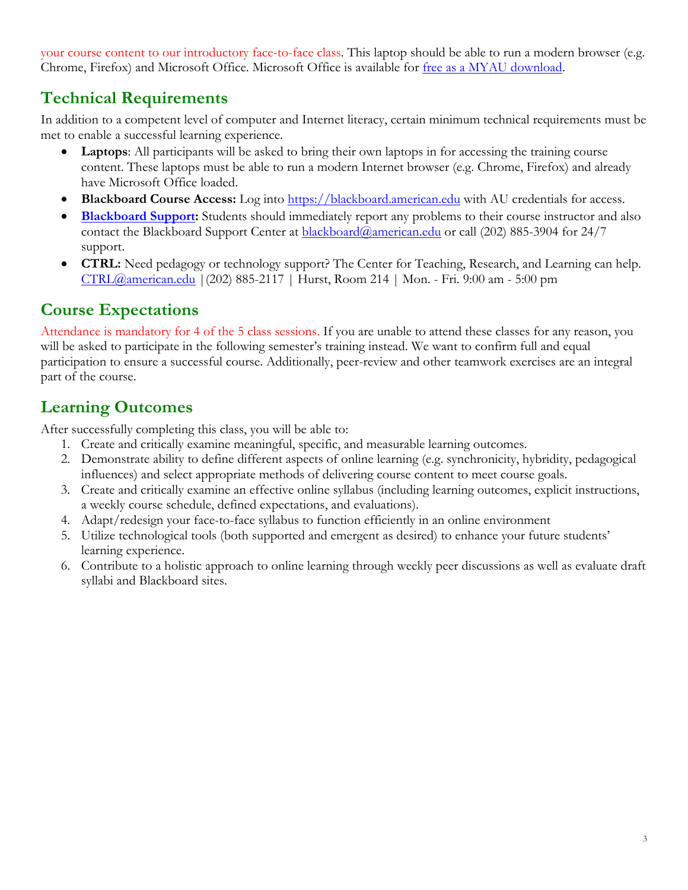your course content to our introductory face-to-face class. This laptop should be able to run a modern browser (e.g. Chrome, Firefox) and Microsoft Office. Microsoft Office is available for free as a MYAU download.

## **Technical Requirements**

In addition to a competent level of computer and Internet literacy, certain minimum technical requirements must be met to enable a successful learning experience.

- **Laptops:** All participants will be asked to bring their own laptops in for accessing the training course content. These laptops must be able to run a modern Internet browser (e.g. Chrome, Firefox) and already have Microsoft Office loaded.
- **Blackboard Course Access:** Log into https://blackboard.american.edu with AU credentials for access.
- **Blackboard Support:** Students should immediately report any problems to their course instructor and also contact the Blackboard Support Center at **blackboard@american.edu** or call (202) 885-3904 for 24/7 support.
- **CTRL:** Need pedagogy or technology support? The Center for Teaching, Research, and Learning can help. CTRL@american.edu |(202) 885-2117 | Hurst, Room 214 | Mon. - Fri. 9:00 am - 5:00 pm

## **Course Expectations**

Attendance is mandatory for 4 of the 5 class sessions. If you are unable to attend these classes for any reason, you will be asked to participate in the following semester's training instead. We want to confirm full and equal participation to ensure a successful course. Additionally, peer-review and other teamwork exercises are an integral part of the course.

# **Learning Outcomes**

After successfully completing this class, you will be able to:

- 1. Create and critically examine meaningful, specific, and measurable learning outcomes.
- 2. Demonstrate ability to define different aspects of online learning (e.g. synchronicity, hybridity, pedagogical influences) and select appropriate methods of delivering course content to meet course goals.
- 3. Create and critically examine an effective online syllabus (including learning outcomes, explicit instructions, a weekly course schedule, defined expectations, and evaluations).
- 4. Adapt/redesign your face-to-face syllabus to function efficiently in an online environment
- 5. Utilize technological tools (both supported and emergent as desired) to enhance your future students' learning experience.
- 6. Contribute to a holistic approach to online learning through weekly peer discussions as well as evaluate draft syllabi and Blackboard sites.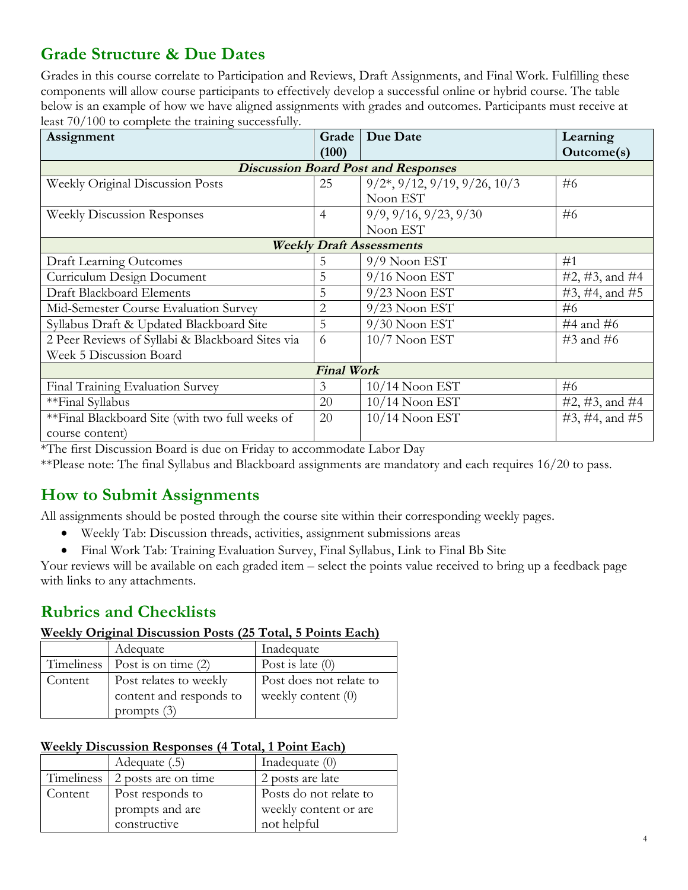# **Grade Structure & Due Dates**

Grades in this course correlate to Participation and Reviews, Draft Assignments, and Final Work. Fulfilling these components will allow course participants to effectively develop a successful online or hybrid course. The table below is an example of how we have aligned assignments with grades and outcomes. Participants must receive at least 70/100 to complete the training successfully.

| Assignment                                       | Grade          | Due Date                                               | Learning       |
|--------------------------------------------------|----------------|--------------------------------------------------------|----------------|
|                                                  | (100)          |                                                        | Outcome(s)     |
|                                                  |                | <b>Discussion Board Post and Responses</b>             |                |
| Weekly Original Discussion Posts                 | 25             | $9/2$ <sup>*</sup> , $9/12$ , $9/19$ , $9/26$ , $10/3$ | #6             |
|                                                  |                | Noon EST                                               |                |
| <b>Weekly Discussion Responses</b>               | $\overline{4}$ | 9/9, 9/16, 9/23, 9/30                                  | #6             |
|                                                  |                | Noon EST                                               |                |
| <b>Weekly Draft Assessments</b>                  |                |                                                        |                |
| <b>Draft Learning Outcomes</b>                   | 5              | $9/9$ Noon EST                                         | #1             |
| Curriculum Design Document                       | 5              | $9/16$ Noon EST                                        | #2, #3, and #4 |
| <b>Draft Blackboard Elements</b>                 | 5              | $9/23$ Noon EST                                        | #3, #4, and #5 |
| Mid-Semester Course Evaluation Survey            | $\overline{2}$ | $9/23$ Noon EST                                        | #6             |
| Syllabus Draft & Updated Blackboard Site         | 5              | $9/30$ Noon EST                                        | #4 and #6      |
| 2 Peer Reviews of Syllabi & Blackboard Sites via | 6              | $10/7$ Noon EST                                        | $#3$ and $#6$  |
| Week 5 Discussion Board                          |                |                                                        |                |
| <b>Final Work</b>                                |                |                                                        |                |
| Final Training Evaluation Survey                 | 3              | $10/14$ Noon EST                                       | #6             |
| **Final Syllabus                                 | 20             | $10/14$ Noon EST                                       | #2, #3, and #4 |
| **Final Blackboard Site (with two full weeks of  | 20             | $10/14$ Noon EST                                       | #3, #4, and #5 |
| course content)                                  |                |                                                        |                |

\*The first Discussion Board is due on Friday to accommodate Labor Day

\*\*Please note: The final Syllabus and Blackboard assignments are mandatory and each requires 16/20 to pass.

## **How to Submit Assignments**

All assignments should be posted through the course site within their corresponding weekly pages.

- Weekly Tab: Discussion threads, activities, assignment submissions areas
- Final Work Tab: Training Evaluation Survey, Final Syllabus, Link to Final Bb Site

Your reviews will be available on each graded item – select the points value received to bring up a feedback page with links to any attachments.

4

## **Rubrics and Checklists**

#### **Weekly Original Discussion Posts (25 Total, 5 Points Each)**

|         | Adequate                               | Inadequate              |
|---------|----------------------------------------|-------------------------|
|         | Timeliness $\vert$ Post is on time (2) | Post is late $(0)$      |
| Content | Post relates to weekly                 | Post does not relate to |
|         | content and responds to                | weekly content $(0)$    |
|         | prompts $(3)$                          |                         |

#### **Weekly Discussion Responses (4 Total, 1 Point Each)**

|         | Adequate (.5)                  | Inadequate $(0)$       |
|---------|--------------------------------|------------------------|
|         | Timeliness 2 posts are on time | 2 posts are late       |
| Content | Post responds to               | Posts do not relate to |
|         | prompts and are                | weekly content or are  |
|         | constructive                   | not helpful            |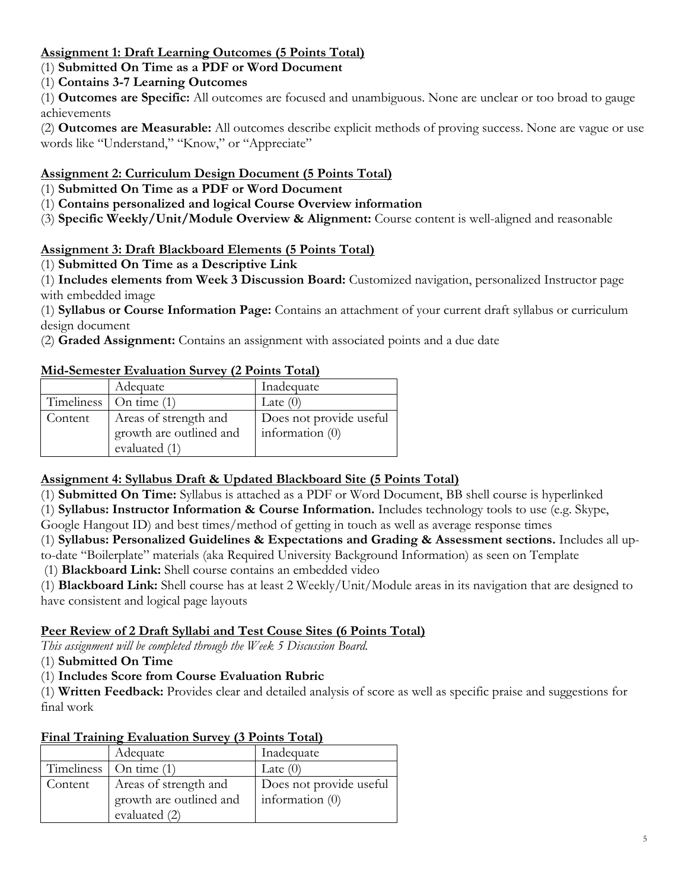#### **Assignment 1: Draft Learning Outcomes (5 Points Total)**

#### (1) **Submitted On Time as a PDF or Word Document**

#### (1) **Contains 3-7 Learning Outcomes**

(1) **Outcomes are Specific:** All outcomes are focused and unambiguous. None are unclear or too broad to gauge achievements

(2) **Outcomes are Measurable:** All outcomes describe explicit methods of proving success. None are vague or use words like "Understand," "Know," or "Appreciate"

#### **Assignment 2: Curriculum Design Document (5 Points Total)**

- (1) **Submitted On Time as a PDF or Word Document**
- (1) **Contains personalized and logical Course Overview information**
- (3) **Specific Weekly/Unit/Module Overview & Alignment:** Course content is well-aligned and reasonable

#### **Assignment 3: Draft Blackboard Elements (5 Points Total)**

#### (1) **Submitted On Time as a Descriptive Link**

(1) **Includes elements from Week 3 Discussion Board:** Customized navigation, personalized Instructor page with embedded image

(1) **Syllabus or Course Information Page:** Contains an attachment of your current draft syllabus or curriculum design document

(2) **Graded Assignment:** Contains an assignment with associated points and a due date

#### **Mid-Semester Evaluation Survey (2 Points Total)**

|         | Adequate                       | Inadequate              |
|---------|--------------------------------|-------------------------|
|         | Timeliness $\vert$ On time (1) | Late $(0)$              |
| Content | Areas of strength and          | Does not provide useful |
|         | growth are outlined and        | information $(0)$       |
|         | evaluated (1)                  |                         |

#### **Assignment 4: Syllabus Draft & Updated Blackboard Site (5 Points Total)**

(1) **Submitted On Time:** Syllabus is attached as a PDF or Word Document, BB shell course is hyperlinked

(1) **Syllabus: Instructor Information & Course Information.** Includes technology tools to use (e.g. Skype,

Google Hangout ID) and best times/method of getting in touch as well as average response times

(1) **Syllabus: Personalized Guidelines & Expectations and Grading & Assessment sections.** Includes all upto-date "Boilerplate" materials (aka Required University Background Information) as seen on Template

(1) **Blackboard Link:** Shell course contains an embedded video

(1) **Blackboard Link:** Shell course has at least 2 Weekly/Unit/Module areas in its navigation that are designed to have consistent and logical page layouts

#### **Peer Review of 2 Draft Syllabi and Test Couse Sites (6 Points Total)**

*This assignment will be completed through the Week 5 Discussion Board.*

(1) **Submitted On Time**

(1) **Includes Score from Course Evaluation Rubric**

(1) **Written Feedback:** Provides clear and detailed analysis of score as well as specific praise and suggestions for final work

#### **Final Training Evaluation Survey (3 Points Total)**

|         | Adequate                       | Inadequate              |
|---------|--------------------------------|-------------------------|
|         | Timeliness $\vert$ On time (1) | Late $(0)$              |
| Content | Areas of strength and          | Does not provide useful |
|         | growth are outlined and        | information $(0)$       |
|         | evaluated (2)                  |                         |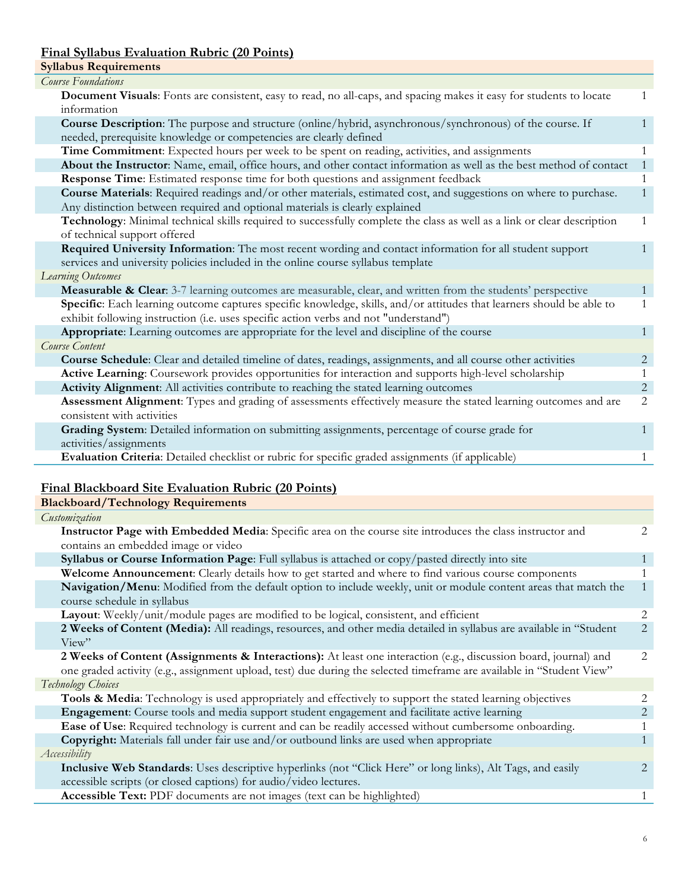#### **Final Syllabus Evaluation Rubric (20 Points)**

| <b>Syllabus Requirements</b>                                                                                                                                                                                  |              |
|---------------------------------------------------------------------------------------------------------------------------------------------------------------------------------------------------------------|--------------|
| <b>Course Foundations</b>                                                                                                                                                                                     |              |
| Document Visuals: Fonts are consistent, easy to read, no all-caps, and spacing makes it easy for students to locate<br>information                                                                            | 1            |
|                                                                                                                                                                                                               | $\mathbf{1}$ |
| <b>Course Description:</b> The purpose and structure (online/hybrid, asynchronous/synchronous) of the course. If                                                                                              |              |
| needed, prerequisite knowledge or competencies are clearly defined                                                                                                                                            |              |
| Time Commitment: Expected hours per week to be spent on reading, activities, and assignments                                                                                                                  | $\mathbf{1}$ |
| About the Instructor: Name, email, office hours, and other contact information as well as the best method of contact                                                                                          | -1           |
| Response Time: Estimated response time for both questions and assignment feedback                                                                                                                             | 1            |
| Course Materials: Required readings and/or other materials, estimated cost, and suggestions on where to purchase.                                                                                             | $\mathbf{1}$ |
| Any distinction between required and optional materials is clearly explained                                                                                                                                  |              |
| Technology: Minimal technical skills required to successfully complete the class as well as a link or clear description<br>of technical support offered                                                       | $\mathbf{1}$ |
|                                                                                                                                                                                                               | $\mathbf{1}$ |
| Required University Information: The most recent wording and contact information for all student support<br>services and university policies included in the online course syllabus template                  |              |
| Learning Outcomes                                                                                                                                                                                             |              |
| Measurable & Clear: 3-7 learning outcomes are measurable, clear, and written from the students' perspective                                                                                                   | 1            |
|                                                                                                                                                                                                               | 1            |
| Specific: Each learning outcome captures specific knowledge, skills, and/or attitudes that learners should be able to<br>exhibit following instruction (i.e. uses specific action verbs and not "understand") |              |
| Appropriate: Learning outcomes are appropriate for the level and discipline of the course                                                                                                                     | $\mathbf{1}$ |
| Course Content                                                                                                                                                                                                |              |
| Course Schedule: Clear and detailed timeline of dates, readings, assignments, and all course other activities                                                                                                 | 2            |
| Active Learning: Coursework provides opportunities for interaction and supports high-level scholarship                                                                                                        | 1            |
| Activity Alignment: All activities contribute to reaching the stated learning outcomes                                                                                                                        | 2            |
| Assessment Alignment: Types and grading of assessments effectively measure the stated learning outcomes and are                                                                                               | 2            |
| consistent with activities                                                                                                                                                                                    |              |
| Grading System: Detailed information on submitting assignments, percentage of course grade for                                                                                                                | 1            |
| activities/assignments                                                                                                                                                                                        |              |
| Evaluation Criteria: Detailed checklist or rubric for specific graded assignments (if applicable)                                                                                                             | 1            |

### **Final Blackboard Site Evaluation Rubric (20 Points)**

| <b>Blackboard/Technology Requirements</b>                                                                             |              |
|-----------------------------------------------------------------------------------------------------------------------|--------------|
| Customization                                                                                                         |              |
| Instructor Page with Embedded Media: Specific area on the course site introduces the class instructor and             | 2            |
| contains an embedded image or video                                                                                   |              |
| Syllabus or Course Information Page: Full syllabus is attached or copy/pasted directly into site                      |              |
| Welcome Announcement: Clearly details how to get started and where to find various course components                  |              |
| Navigation/Menu: Modified from the default option to include weekly, unit or module content areas that match the      | $\mathbf{1}$ |
| course schedule in syllabus                                                                                           |              |
| Layout: Weekly/unit/module pages are modified to be logical, consistent, and efficient                                | 2            |
| 2 Weeks of Content (Media): All readings, resources, and other media detailed in syllabus are available in "Student   | 2            |
| View''                                                                                                                |              |
| 2 Weeks of Content (Assignments & Interactions): At least one interaction (e.g., discussion board, journal) and       | 2            |
| one graded activity (e.g., assignment upload, test) due during the selected timeframe are available in "Student View" |              |
| Technology Choices                                                                                                    |              |
| Tools & Media: Technology is used appropriately and effectively to support the stated learning objectives             |              |
| Engagement: Course tools and media support student engagement and facilitate active learning                          | 2            |
| Ease of Use: Required technology is current and can be readily accessed without cumbersome onboarding.                |              |
| Copyright: Materials fall under fair use and/or outbound links are used when appropriate                              |              |
| Accessibility                                                                                                         |              |
| Inclusive Web Standards: Uses descriptive hyperlinks (not "Click Here" or long links), Alt Tags, and easily           | 2            |
| accessible scripts (or closed captions) for audio/video lectures.                                                     |              |
| Accessible Text: PDF documents are not images (text can be highlighted)                                               | 1            |
|                                                                                                                       |              |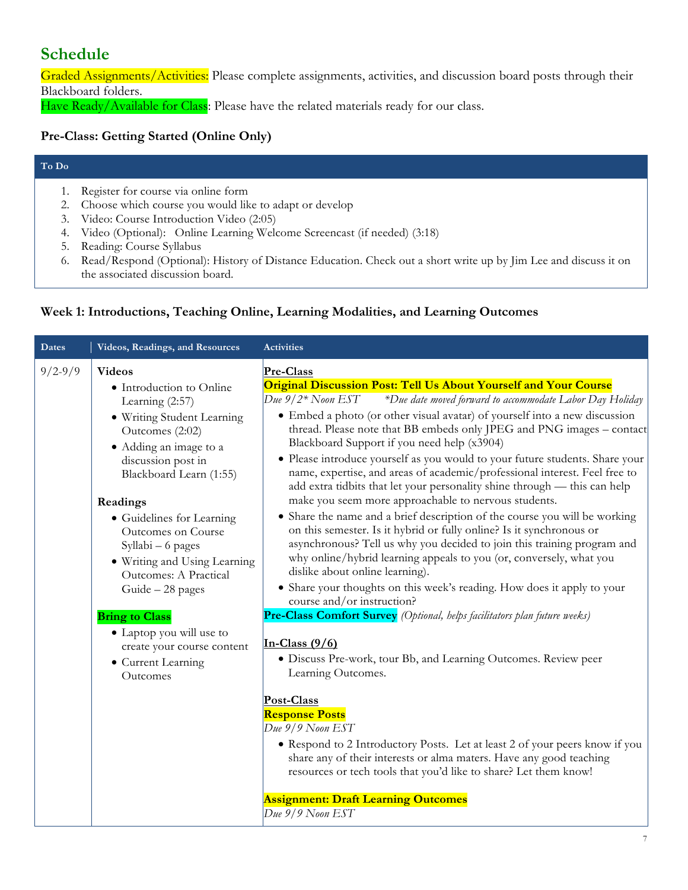## **Schedule**

Graded Assignments/Activities: Please complete assignments, activities, and discussion board posts through their Blackboard folders.

Have Ready/Available for Class: Please have the related materials ready for our class.

#### **Pre-Class: Getting Started (Online Only)**

#### **To Do**

- 1. Register for course via online form
- 2. Choose which course you would like to adapt or develop
- 3. Video: Course Introduction Video (2:05)
- 4. Video (Optional): Online Learning Welcome Screencast (if needed) (3:18)
- 5. Reading: Course Syllabus
- 6. Read/Respond (Optional): History of Distance Education. Check out a short write up by Jim Lee and discuss it on the associated discussion board.

#### **Week 1: Introductions, Teaching Online, Learning Modalities, and Learning Outcomes**

| <b>Dates</b> | Videos, Readings, and Resources                                                                                                                                                                                                                                                                                                                                                                                                                                                | <b>Activities</b>                                                                                                                                                                                                                                                                                                                                                                                                                                                                                                                                                                                                                                                                                                                                                                                                                                                                                                                                                                                                                                                                                                                                                                                                                                                                                                                                                                                                                                                                                                                                                                                                                                                                 |
|--------------|--------------------------------------------------------------------------------------------------------------------------------------------------------------------------------------------------------------------------------------------------------------------------------------------------------------------------------------------------------------------------------------------------------------------------------------------------------------------------------|-----------------------------------------------------------------------------------------------------------------------------------------------------------------------------------------------------------------------------------------------------------------------------------------------------------------------------------------------------------------------------------------------------------------------------------------------------------------------------------------------------------------------------------------------------------------------------------------------------------------------------------------------------------------------------------------------------------------------------------------------------------------------------------------------------------------------------------------------------------------------------------------------------------------------------------------------------------------------------------------------------------------------------------------------------------------------------------------------------------------------------------------------------------------------------------------------------------------------------------------------------------------------------------------------------------------------------------------------------------------------------------------------------------------------------------------------------------------------------------------------------------------------------------------------------------------------------------------------------------------------------------------------------------------------------------|
| $9/2 - 9/9$  | <b>Videos</b><br>• Introduction to Online<br>Learning (2:57)<br>· Writing Student Learning<br>Outcomes (2:02)<br>• Adding an image to a<br>discussion post in<br>Blackboard Learn (1:55)<br>Readings<br>• Guidelines for Learning<br>Outcomes on Course<br>Syllabi - 6 pages<br>• Writing and Using Learning<br>Outcomes: A Practical<br>Guide - 28 pages<br><b>Bring to Class</b><br>• Laptop you will use to<br>create your course content<br>• Current Learning<br>Outcomes | Pre-Class<br>Original Discussion Post: Tell Us About Yourself and Your Course<br>Due $9/2^*$ Noon EST<br>*Due date moved forward to accommodate Labor Day Holiday<br>• Embed a photo (or other visual avatar) of yourself into a new discussion<br>thread. Please note that BB embeds only JPEG and PNG images - contact<br>Blackboard Support if you need help (x3904)<br>· Please introduce yourself as you would to your future students. Share your<br>name, expertise, and areas of academic/professional interest. Feel free to<br>add extra tidbits that let your personality shine through - this can help<br>make you seem more approachable to nervous students.<br>• Share the name and a brief description of the course you will be working<br>on this semester. Is it hybrid or fully online? Is it synchronous or<br>asynchronous? Tell us why you decided to join this training program and<br>why online/hybrid learning appeals to you (or, conversely, what you<br>dislike about online learning).<br>• Share your thoughts on this week's reading. How does it apply to your<br>course and/or instruction?<br>Pre-Class Comfort Survey (Optional, helps facilitators plan future weeks)<br>In-Class $(9/6)$<br>• Discuss Pre-work, tour Bb, and Learning Outcomes. Review peer<br>Learning Outcomes.<br>Post-Class<br><b>Response Posts</b><br>$Due 9/9$ Noon EST<br>• Respond to 2 Introductory Posts. Let at least 2 of your peers know if you<br>share any of their interests or alma maters. Have any good teaching<br>resources or tech tools that you'd like to share? Let them know!<br><b>Assignment: Draft Learning Outcomes</b><br>Due 9/9 Noon EST |
|              |                                                                                                                                                                                                                                                                                                                                                                                                                                                                                |                                                                                                                                                                                                                                                                                                                                                                                                                                                                                                                                                                                                                                                                                                                                                                                                                                                                                                                                                                                                                                                                                                                                                                                                                                                                                                                                                                                                                                                                                                                                                                                                                                                                                   |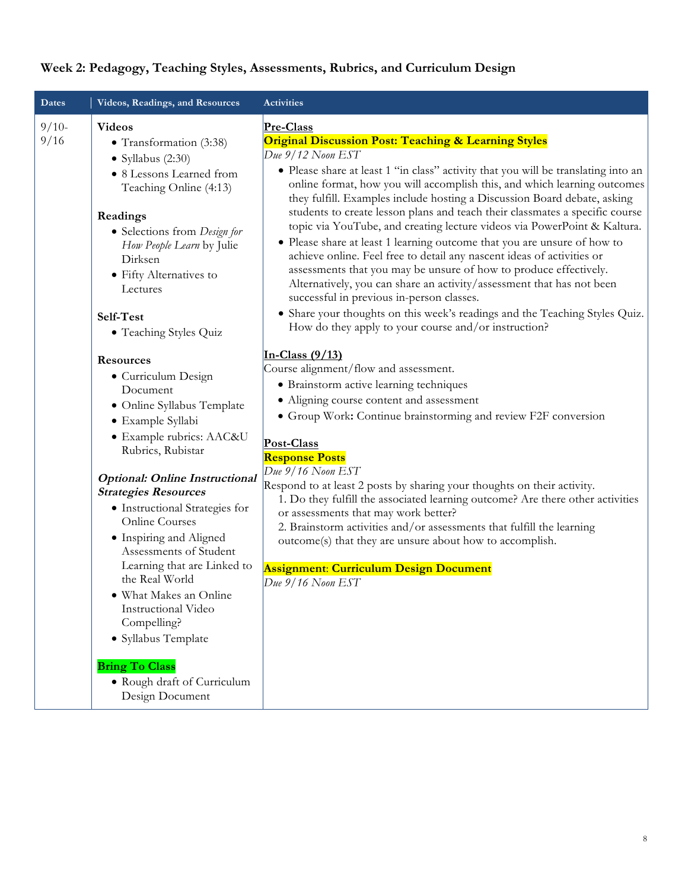| Dates           | Videos, Readings, and Resources                                                                                                                                                                                                                                                                                   | Activities                                                                                                                                                                                                                                                                                                                                                                                                                                                                                                                                                                                                                                                                                                                                                                                                                                                                                                                                                                                                               |
|-----------------|-------------------------------------------------------------------------------------------------------------------------------------------------------------------------------------------------------------------------------------------------------------------------------------------------------------------|--------------------------------------------------------------------------------------------------------------------------------------------------------------------------------------------------------------------------------------------------------------------------------------------------------------------------------------------------------------------------------------------------------------------------------------------------------------------------------------------------------------------------------------------------------------------------------------------------------------------------------------------------------------------------------------------------------------------------------------------------------------------------------------------------------------------------------------------------------------------------------------------------------------------------------------------------------------------------------------------------------------------------|
| $9/10-$<br>9/16 | <b>Videos</b><br>• Transformation (3:38)<br>$\bullet$ Syllabus (2:30)<br>• 8 Lessons Learned from<br>Teaching Online (4:13)<br>Readings<br>• Selections from Design for<br>How People Learn by Julie<br>Dirksen<br>• Fifty Alternatives to<br>Lectures<br>Self-Test<br>• Teaching Styles Quiz<br><b>Resources</b> | Pre-Class<br><b>Original Discussion Post: Teaching &amp; Learning Styles</b><br>Due 9/12 Noon EST<br>• Please share at least 1 "in class" activity that you will be translating into an<br>online format, how you will accomplish this, and which learning outcomes<br>they fulfill. Examples include hosting a Discussion Board debate, asking<br>students to create lesson plans and teach their classmates a specific course<br>topic via YouTube, and creating lecture videos via PowerPoint & Kaltura.<br>• Please share at least 1 learning outcome that you are unsure of how to<br>achieve online. Feel free to detail any nascent ideas of activities or<br>assessments that you may be unsure of how to produce effectively.<br>Alternatively, you can share an activity/assessment that has not been<br>successful in previous in-person classes.<br>• Share your thoughts on this week's readings and the Teaching Styles Quiz.<br>How do they apply to your course and/or instruction?<br>In-Class $(9/13)$ |
|                 | • Curriculum Design<br>Document<br>• Online Syllabus Template<br>· Example Syllabi<br>· Example rubrics: AAC&U<br>Rubrics, Rubistar<br><b>Optional: Online Instructional</b>                                                                                                                                      | Course alignment/flow and assessment.<br>• Brainstorm active learning techniques<br>• Aligning course content and assessment<br>• Group Work: Continue brainstorming and review F2F conversion<br>Post-Class<br><b>Response Posts</b><br>Due 9/16 Noon EST                                                                                                                                                                                                                                                                                                                                                                                                                                                                                                                                                                                                                                                                                                                                                               |
|                 | <b>Strategies Resources</b><br>• Instructional Strategies for<br><b>Online Courses</b><br>• Inspiring and Aligned<br>Assessments of Student<br>Learning that are Linked to<br>the Real World<br>• What Makes an Online<br>Instructional Video<br>Compelling?<br>• Syllabus Template<br><b>Bring To Class</b>      | Respond to at least 2 posts by sharing your thoughts on their activity.<br>1. Do they fulfill the associated learning outcome? Are there other activities<br>or assessments that may work better?<br>2. Brainstorm activities and/or assessments that fulfill the learning<br>outcome(s) that they are unsure about how to accomplish.<br><b>Assignment: Curriculum Design Document</b><br>Due 9/16 Noon EST                                                                                                                                                                                                                                                                                                                                                                                                                                                                                                                                                                                                             |
|                 | · Rough draft of Curriculum<br>Design Document                                                                                                                                                                                                                                                                    |                                                                                                                                                                                                                                                                                                                                                                                                                                                                                                                                                                                                                                                                                                                                                                                                                                                                                                                                                                                                                          |

### **Week 2: Pedagogy, Teaching Styles, Assessments, Rubrics, and Curriculum Design**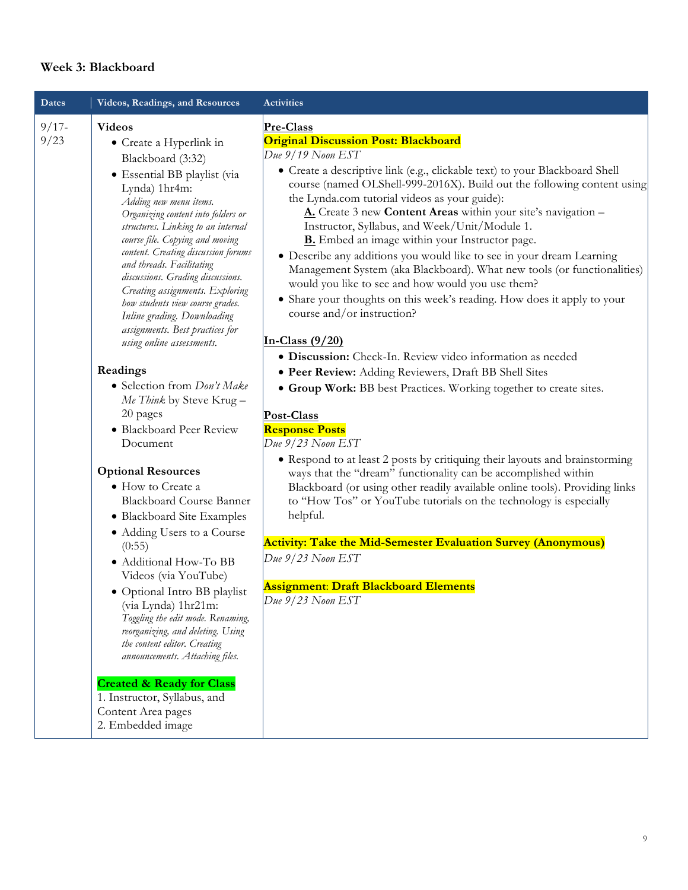#### **Week 3: Blackboard**

| <b>Dates</b>     | Videos, Readings, and Resources                                                                                                                                                                                                                                                                                                                                                                                                                                                                                                                                                                                                                                                                                                                                                                                                                                                                                                                                                                                                                                                                                                                                                                      | <b>Activities</b>                                                                                                                                                                                                                                                                                                                                                                                                                                                                                                                                                                                                                                                                                                                                                                                                                                                                                                                                                                                                                                                                                                                                                                                                                                                                                                                                                                                                                                                                                                                                        |
|------------------|------------------------------------------------------------------------------------------------------------------------------------------------------------------------------------------------------------------------------------------------------------------------------------------------------------------------------------------------------------------------------------------------------------------------------------------------------------------------------------------------------------------------------------------------------------------------------------------------------------------------------------------------------------------------------------------------------------------------------------------------------------------------------------------------------------------------------------------------------------------------------------------------------------------------------------------------------------------------------------------------------------------------------------------------------------------------------------------------------------------------------------------------------------------------------------------------------|----------------------------------------------------------------------------------------------------------------------------------------------------------------------------------------------------------------------------------------------------------------------------------------------------------------------------------------------------------------------------------------------------------------------------------------------------------------------------------------------------------------------------------------------------------------------------------------------------------------------------------------------------------------------------------------------------------------------------------------------------------------------------------------------------------------------------------------------------------------------------------------------------------------------------------------------------------------------------------------------------------------------------------------------------------------------------------------------------------------------------------------------------------------------------------------------------------------------------------------------------------------------------------------------------------------------------------------------------------------------------------------------------------------------------------------------------------------------------------------------------------------------------------------------------------|
| $9/17 -$<br>9/23 | <b>Videos</b><br>• Create a Hyperlink in<br>Blackboard (3:32)<br>• Essential BB playlist (via<br>Lynda) 1hr4m:<br>Adding new menu items.<br>Organizing content into folders or<br>structures. Linking to an internal<br>course file. Copying and moving<br>content. Creating discussion forums<br>and threads. Facilitating<br>discussions. Grading discussions.<br>Creating assignments. Exploring<br>how students view course grades.<br>Inline grading. Downloading<br>assignments. Best practices for<br>using online assessments.<br>Readings<br>· Selection from Don't Make<br>Me Think by Steve Krug-<br>20 pages<br>· Blackboard Peer Review<br>Document<br><b>Optional Resources</b><br>• How to Create a<br><b>Blackboard Course Banner</b><br>• Blackboard Site Examples<br>• Adding Users to a Course<br>(0:55)<br>· Additional How-To BB<br>Videos (via YouTube)<br>· Optional Intro BB playlist<br>(via Lynda) 1hr21m:<br>Toggling the edit mode. Renaming,<br>reorganizing, and deleting. Using<br>the content editor. Creating<br>announcements. Attaching files.<br><b>Created &amp; Ready for Class</b><br>1. Instructor, Syllabus, and<br>Content Area pages<br>2. Embedded image | Pre-Class<br><b>Original Discussion Post: Blackboard</b><br>Due 9/19 Noon EST<br>· Create a descriptive link (e.g., clickable text) to your Blackboard Shell<br>course (named OLShell-999-2016X). Build out the following content using<br>the Lynda.com tutorial videos as your guide):<br>A. Create 3 new Content Areas within your site's navigation -<br>Instructor, Syllabus, and Week/Unit/Module 1.<br><b>B.</b> Embed an image within your Instructor page.<br>· Describe any additions you would like to see in your dream Learning<br>Management System (aka Blackboard). What new tools (or functionalities)<br>would you like to see and how would you use them?<br>• Share your thoughts on this week's reading. How does it apply to your<br>course and/or instruction?<br>In-Class $(9/20)$<br>· Discussion: Check-In. Review video information as needed<br>· Peer Review: Adding Reviewers, Draft BB Shell Sites<br>• Group Work: BB best Practices. Working together to create sites.<br>Post-Class<br><b>Response Posts</b><br>Due 9/23 Noon EST<br>• Respond to at least 2 posts by critiquing their layouts and brainstorming<br>ways that the "dream" functionality can be accomplished within<br>Blackboard (or using other readily available online tools). Providing links<br>to "How Tos" or YouTube tutorials on the technology is especially<br>helpful.<br><b>Activity: Take the Mid-Semester Evaluation Survey (Anonymous)</b><br>Due 9/23 Noon EST<br><b>Assignment: Draft Blackboard Elements</b><br>Due $9/23$ Noon EST |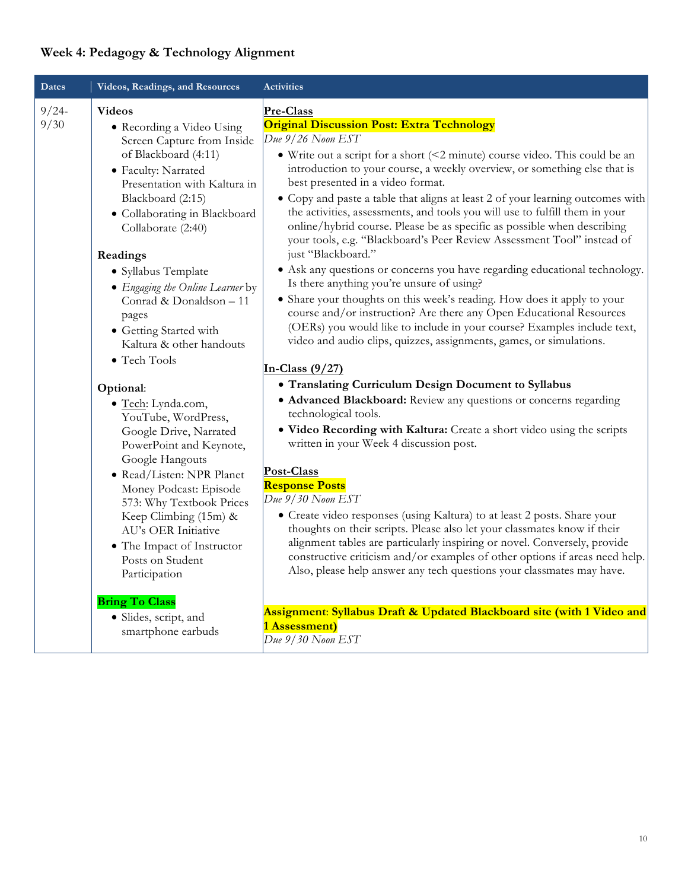## **Week 4: Pedagogy & Technology Alignment**

| Dates            | Videos, Readings, and Resources                                                                                                                                                                                                                                                                                                                                                                                                                                                                                                                                                                                                                                                                                                                                                                                                      | <b>Activities</b>                                                                                                                                                                                                                                                                                                                                                                                                                                                                                                                                                                                                                                                                                                                                                                                                                                                                                                                                                                                                                                                                                                                                                                                                                                                                                                                                                                                                                                                                                                                                                                                                                                                                                                                                                                                                                                                                                                                         |
|------------------|--------------------------------------------------------------------------------------------------------------------------------------------------------------------------------------------------------------------------------------------------------------------------------------------------------------------------------------------------------------------------------------------------------------------------------------------------------------------------------------------------------------------------------------------------------------------------------------------------------------------------------------------------------------------------------------------------------------------------------------------------------------------------------------------------------------------------------------|-------------------------------------------------------------------------------------------------------------------------------------------------------------------------------------------------------------------------------------------------------------------------------------------------------------------------------------------------------------------------------------------------------------------------------------------------------------------------------------------------------------------------------------------------------------------------------------------------------------------------------------------------------------------------------------------------------------------------------------------------------------------------------------------------------------------------------------------------------------------------------------------------------------------------------------------------------------------------------------------------------------------------------------------------------------------------------------------------------------------------------------------------------------------------------------------------------------------------------------------------------------------------------------------------------------------------------------------------------------------------------------------------------------------------------------------------------------------------------------------------------------------------------------------------------------------------------------------------------------------------------------------------------------------------------------------------------------------------------------------------------------------------------------------------------------------------------------------------------------------------------------------------------------------------------------------|
| $9/24 -$<br>9/30 | <b>Videos</b><br>• Recording a Video Using<br>Screen Capture from Inside<br>of Blackboard (4:11)<br>• Faculty: Narrated<br>Presentation with Kaltura in<br>Blackboard (2:15)<br>• Collaborating in Blackboard<br>Collaborate (2:40)<br>Readings<br>• Syllabus Template<br>• Engaging the Online Learner by<br>Conrad & Donaldson - 11<br>pages<br>• Getting Started with<br>Kaltura & other handouts<br>• Tech Tools<br>Optional:<br>· Tech: Lynda.com,<br>YouTube, WordPress,<br>Google Drive, Narrated<br>PowerPoint and Keynote,<br>Google Hangouts<br>· Read/Listen: NPR Planet<br>Money Podcast: Episode<br>573: Why Textbook Prices<br>Keep Climbing (15m) &<br>AU's OER Initiative<br>• The Impact of Instructor<br>Posts on Student<br>Participation<br><b>Bring To Class</b><br>· Slides, script, and<br>smartphone earbuds | Pre-Class<br><b>Original Discussion Post: Extra Technology</b><br>Due $9/26$ Noon EST<br>• Write out a script for a short (<2 minute) course video. This could be an<br>introduction to your course, a weekly overview, or something else that is<br>best presented in a video format.<br>• Copy and paste a table that aligns at least 2 of your learning outcomes with<br>the activities, assessments, and tools you will use to fulfill them in your<br>online/hybrid course. Please be as specific as possible when describing<br>your tools, e.g. "Blackboard's Peer Review Assessment Tool" instead of<br>just "Blackboard."<br>• Ask any questions or concerns you have regarding educational technology.<br>Is there anything you're unsure of using?<br>• Share your thoughts on this week's reading. How does it apply to your<br>course and/or instruction? Are there any Open Educational Resources<br>(OERs) you would like to include in your course? Examples include text,<br>video and audio clips, quizzes, assignments, games, or simulations.<br>In-Class $(9/27)$<br>• Translating Curriculum Design Document to Syllabus<br>• Advanced Blackboard: Review any questions or concerns regarding<br>technological tools.<br>. Video Recording with Kaltura: Create a short video using the scripts<br>written in your Week 4 discussion post.<br>Post-Class<br><b>Response Posts</b><br>Due 9/30 Noon EST<br>• Create video responses (using Kaltura) to at least 2 posts. Share your<br>thoughts on their scripts. Please also let your classmates know if their<br>alignment tables are particularly inspiring or novel. Conversely, provide<br>constructive criticism and/or examples of other options if areas need help.<br>Also, please help answer any tech questions your classmates may have.<br>Assignment: Syllabus Draft & Updated Blackboard site (with 1 Video and<br>1 Assessment)<br>Due~9/30~Noon EST |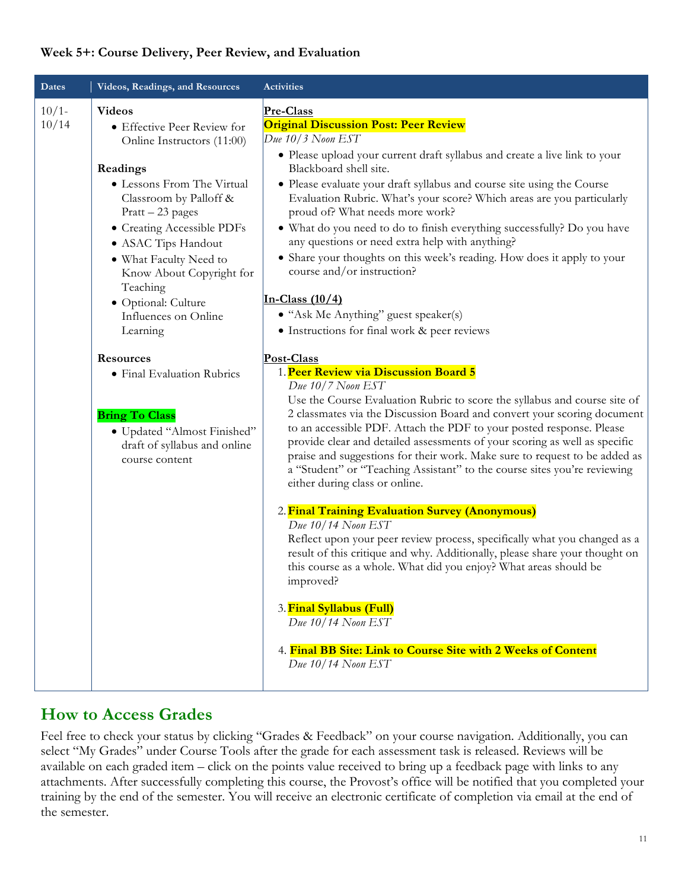#### **Week 5+: Course Delivery, Peer Review, and Evaluation**

| <b>Dates</b>     | Videos, Readings, and Resources                                                                                                                                                                                                                                                                                                                                                                                                                                                                                  | <b>Activities</b>                                                                                                                                                                                                                                                                                                                                                                                                                                                                                                                                                                                                                                                                                                                                                                                                                                                                                                                                                                                                                                                                                                                                                                                                                                                                                                                                                                                                                                                                                                                                                                                                                                                                                                                                                                          |
|------------------|------------------------------------------------------------------------------------------------------------------------------------------------------------------------------------------------------------------------------------------------------------------------------------------------------------------------------------------------------------------------------------------------------------------------------------------------------------------------------------------------------------------|--------------------------------------------------------------------------------------------------------------------------------------------------------------------------------------------------------------------------------------------------------------------------------------------------------------------------------------------------------------------------------------------------------------------------------------------------------------------------------------------------------------------------------------------------------------------------------------------------------------------------------------------------------------------------------------------------------------------------------------------------------------------------------------------------------------------------------------------------------------------------------------------------------------------------------------------------------------------------------------------------------------------------------------------------------------------------------------------------------------------------------------------------------------------------------------------------------------------------------------------------------------------------------------------------------------------------------------------------------------------------------------------------------------------------------------------------------------------------------------------------------------------------------------------------------------------------------------------------------------------------------------------------------------------------------------------------------------------------------------------------------------------------------------------|
| $10/1-$<br>10/14 | <b>Videos</b><br>• Effective Peer Review for<br>Online Instructors (11:00)<br>Readings<br>• Lessons From The Virtual<br>Classroom by Palloff &<br>Pratt - 23 pages<br>• Creating Accessible PDFs<br>• ASAC Tips Handout<br>• What Faculty Need to<br>Know About Copyright for<br>Teaching<br>· Optional: Culture<br>Influences on Online<br>Learning<br><b>Resources</b><br>• Final Evaluation Rubrics<br><b>Bring To Class</b><br>· Updated "Almost Finished"<br>draft of syllabus and online<br>course content | Pre-Class<br><b>Original Discussion Post: Peer Review</b><br>$Due~10/3$ Noon EST<br>• Please upload your current draft syllabus and create a live link to your<br>Blackboard shell site.<br>• Please evaluate your draft syllabus and course site using the Course<br>Evaluation Rubric. What's your score? Which areas are you particularly<br>proud of? What needs more work?<br>• What do you need to do to finish everything successfully? Do you have<br>any questions or need extra help with anything?<br>• Share your thoughts on this week's reading. How does it apply to your<br>course and/or instruction?<br>In-Class $(10/4)$<br>• "Ask Me Anything" guest speaker(s)<br>• Instructions for final work & peer reviews<br>Post-Class<br>1. Peer Review via Discussion Board 5<br>Due 10/7 Noon EST<br>Use the Course Evaluation Rubric to score the syllabus and course site of<br>2 classmates via the Discussion Board and convert your scoring document<br>to an accessible PDF. Attach the PDF to your posted response. Please<br>provide clear and detailed assessments of your scoring as well as specific<br>praise and suggestions for their work. Make sure to request to be added as<br>a "Student" or "Teaching Assistant" to the course sites you're reviewing<br>either during class or online.<br>2. Final Training Evaluation Survey (Anonymous)<br>Due 10/14 Noon EST<br>Reflect upon your peer review process, specifically what you changed as a<br>result of this critique and why. Additionally, please share your thought on<br>this course as a whole. What did you enjoy? What areas should be<br>improved?<br>3. Final Syllabus (Full)<br>Due 10/14 Noon EST<br>4. Final BB Site: Link to Course Site with 2 Weeks of Content<br>Due $10/14$ Noon EST |

## **How to Access Grades**

Feel free to check your status by clicking "Grades & Feedback" on your course navigation. Additionally, you can select "My Grades" under Course Tools after the grade for each assessment task is released. Reviews will be available on each graded item – click on the points value received to bring up a feedback page with links to any attachments. After successfully completing this course, the Provost's office will be notified that you completed your training by the end of the semester. You will receive an electronic certificate of completion via email at the end of the semester.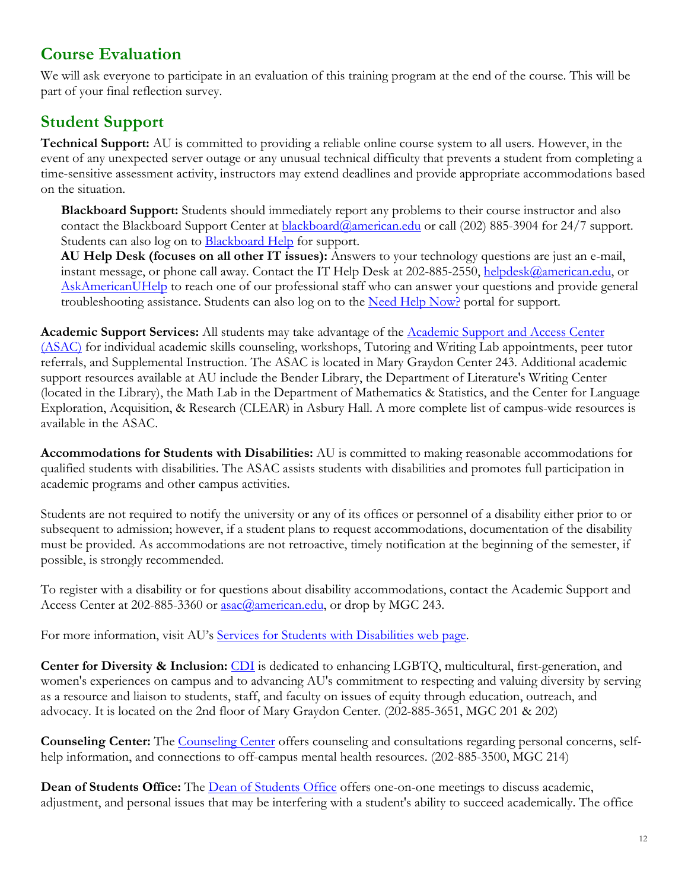## **Course Evaluation**

We will ask everyone to participate in an evaluation of this training program at the end of the course. This will be part of your final reflection survey.

# **Student Support**

**Technical Support:** AU is committed to providing a reliable online course system to all users. However, in the event of any unexpected server outage or any unusual technical difficulty that prevents a student from completing a time-sensitive assessment activity, instructors may extend deadlines and provide appropriate accommodations based on the situation.

**Blackboard Support:** Students should immediately report any problems to their course instructor and also contact the Blackboard Support Center at **blackboard@american.edu** or call (202) 885-3904 for 24/7 support. Students can also log on to **Blackboard Help** for support.

**AU Help Desk (focuses on all other IT issues):** Answers to your technology questions are just an e-mail, instant message, or phone call away. Contact the IT Help Desk at 202-885-2550, helpdesk@american.edu, or AskAmericanUHelp to reach one of our professional staff who can answer your questions and provide general troubleshooting assistance. Students can also log on to the Need Help Now? portal for support.

**Academic Support Services:** All students may take advantage of the Academic Support and Access Center (ASAC) for individual academic skills counseling, workshops, Tutoring and Writing Lab appointments, peer tutor referrals, and Supplemental Instruction. The ASAC is located in Mary Graydon Center 243. Additional academic support resources available at AU include the Bender Library, the Department of Literature's Writing Center (located in the Library), the Math Lab in the Department of Mathematics & Statistics, and the Center for Language Exploration, Acquisition, & Research (CLEAR) in Asbury Hall. A more complete list of campus-wide resources is available in the ASAC.

**Accommodations for Students with Disabilities:** AU is committed to making reasonable accommodations for qualified students with disabilities. The ASAC assists students with disabilities and promotes full participation in academic programs and other campus activities.

Students are not required to notify the university or any of its offices or personnel of a disability either prior to or subsequent to admission; however, if a student plans to request accommodations, documentation of the disability must be provided. As accommodations are not retroactive, timely notification at the beginning of the semester, if possible, is strongly recommended.

To register with a disability or for questions about disability accommodations, contact the Academic Support and Access Center at 202-885-3360 or **asac@american.edu**, or drop by MGC 243.

For more information, visit AU's Services for Students with Disabilities web page.

**Center for Diversity & Inclusion:** CDI is dedicated to enhancing LGBTQ, multicultural, first-generation, and women's experiences on campus and to advancing AU's commitment to respecting and valuing diversity by serving as a resource and liaison to students, staff, and faculty on issues of equity through education, outreach, and advocacy. It is located on the 2nd floor of Mary Graydon Center. (202-885-3651, MGC 201 & 202)

**Counseling Center:** The Counseling Center offers counseling and consultations regarding personal concerns, selfhelp information, and connections to off-campus mental health resources. (202-885-3500, MGC 214)

Dean of Students Office: The **Dean of Students Office** offers one-on-one meetings to discuss academic, adjustment, and personal issues that may be interfering with a student's ability to succeed academically. The office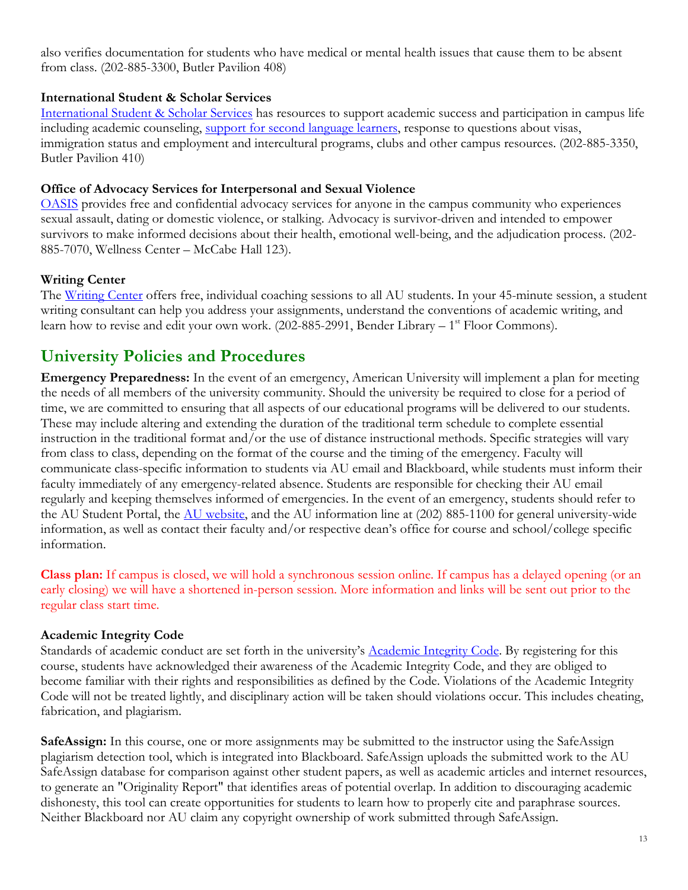also verifies documentation for students who have medical or mental health issues that cause them to be absent from class. (202-885-3300, Butler Pavilion 408)

#### **International Student & Scholar Services**

International Student & Scholar Services has resources to support academic success and participation in campus life including academic counseling, support for second language learners, response to questions about visas, immigration status and employment and intercultural programs, clubs and other campus resources. (202-885-3350, Butler Pavilion 410)

#### **Office of Advocacy Services for Interpersonal and Sexual Violence**

OASIS provides free and confidential advocacy services for anyone in the campus community who experiences sexual assault, dating or domestic violence, or stalking. Advocacy is survivor-driven and intended to empower survivors to make informed decisions about their health, emotional well-being, and the adjudication process. (202- 885-7070, Wellness Center – McCabe Hall 123).

#### **Writing Center**

The Writing Center offers free, individual coaching sessions to all AU students. In your 45-minute session, a student writing consultant can help you address your assignments, understand the conventions of academic writing, and learn how to revise and edit your own work.  $(202-885-2991,$  Bender Library –  $1<sup>st</sup>$  Floor Commons).

### **University Policies and Procedures**

**Emergency Preparedness:** In the event of an emergency, American University will implement a plan for meeting the needs of all members of the university community. Should the university be required to close for a period of time, we are committed to ensuring that all aspects of our educational programs will be delivered to our students. These may include altering and extending the duration of the traditional term schedule to complete essential instruction in the traditional format and/or the use of distance instructional methods. Specific strategies will vary from class to class, depending on the format of the course and the timing of the emergency. Faculty will communicate class-specific information to students via AU email and Blackboard, while students must inform their faculty immediately of any emergency-related absence. Students are responsible for checking their AU email regularly and keeping themselves informed of emergencies. In the event of an emergency, students should refer to the AU Student Portal, the AU website, and the AU information line at (202) 885-1100 for general university-wide information, as well as contact their faculty and/or respective dean's office for course and school/college specific information.

**Class plan:** If campus is closed, we will hold a synchronous session online. If campus has a delayed opening (or an early closing) we will have a shortened in-person session. More information and links will be sent out prior to the regular class start time.

#### **Academic Integrity Code**

Standards of academic conduct are set forth in the university's Academic Integrity Code. By registering for this course, students have acknowledged their awareness of the Academic Integrity Code, and they are obliged to become familiar with their rights and responsibilities as defined by the Code. Violations of the Academic Integrity Code will not be treated lightly, and disciplinary action will be taken should violations occur. This includes cheating, fabrication, and plagiarism.

**SafeAssign:** In this course, one or more assignments may be submitted to the instructor using the SafeAssign plagiarism detection tool, which is integrated into Blackboard. SafeAssign uploads the submitted work to the AU SafeAssign database for comparison against other student papers, as well as academic articles and internet resources, to generate an "Originality Report" that identifies areas of potential overlap. In addition to discouraging academic dishonesty, this tool can create opportunities for students to learn how to properly cite and paraphrase sources. Neither Blackboard nor AU claim any copyright ownership of work submitted through SafeAssign.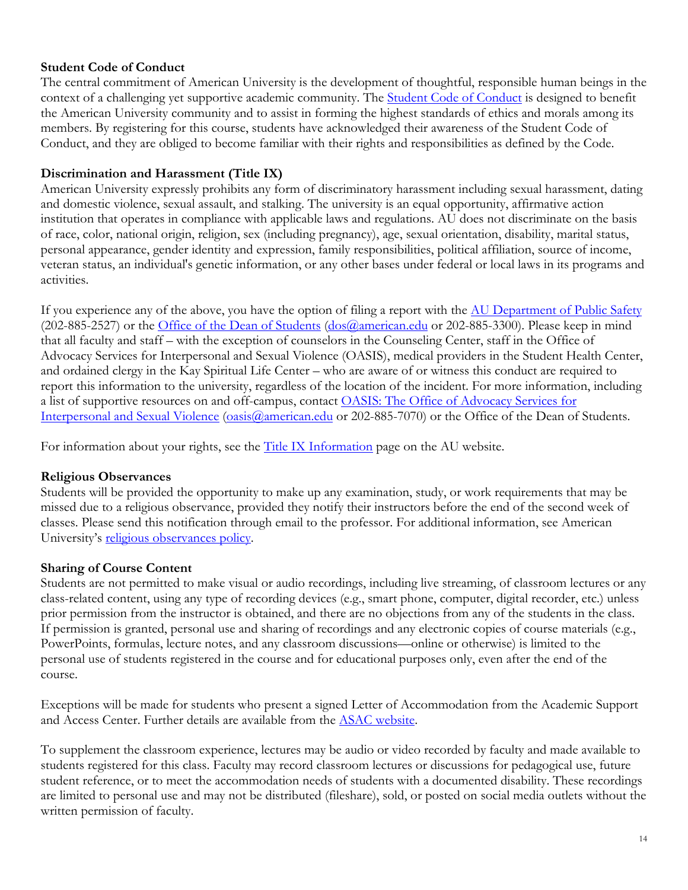#### **Student Code of Conduct**

The central commitment of American University is the development of thoughtful, responsible human beings in the context of a challenging yet supportive academic community. The **Student Code of Conduct** is designed to benefit the American University community and to assist in forming the highest standards of ethics and morals among its members. By registering for this course, students have acknowledged their awareness of the Student Code of Conduct, and they are obliged to become familiar with their rights and responsibilities as defined by the Code.

#### **Discrimination and Harassment (Title IX)**

American University expressly prohibits any form of discriminatory harassment including sexual harassment, dating and domestic violence, sexual assault, and stalking. The university is an equal opportunity, affirmative action institution that operates in compliance with applicable laws and regulations. AU does not discriminate on the basis of race, color, national origin, religion, sex (including pregnancy), age, sexual orientation, disability, marital status, personal appearance, gender identity and expression, family responsibilities, political affiliation, source of income, veteran status, an individual's genetic information, or any other bases under federal or local laws in its programs and activities.

If you experience any of the above, you have the option of filing a report with the AU Department of Public Safety (202-885-2527) or the Office of the Dean of Students (dos@american.edu or 202-885-3300). Please keep in mind that all faculty and staff – with the exception of counselors in the Counseling Center, staff in the Office of Advocacy Services for Interpersonal and Sexual Violence (OASIS), medical providers in the Student Health Center, and ordained clergy in the Kay Spiritual Life Center – who are aware of or witness this conduct are required to report this information to the university, regardless of the location of the incident. For more information, including a list of supportive resources on and off-campus, contact OASIS: The Office of Advocacy Services for Interpersonal and Sexual Violence (oasis@american.edu or 202-885-7070) or the Office of the Dean of Students.

For information about your rights, see the **Title IX Information** page on the AU website.

#### **Religious Observances**

Students will be provided the opportunity to make up any examination, study, or work requirements that may be missed due to a religious observance, provided they notify their instructors before the end of the second week of classes. Please send this notification through email to the professor. For additional information, see American University's religious observances policy.

#### **Sharing of Course Content**

Students are not permitted to make visual or audio recordings, including live streaming, of classroom lectures or any class-related content, using any type of recording devices (e.g., smart phone, computer, digital recorder, etc.) unless prior permission from the instructor is obtained, and there are no objections from any of the students in the class. If permission is granted, personal use and sharing of recordings and any electronic copies of course materials (e.g., PowerPoints, formulas, lecture notes, and any classroom discussions—online or otherwise) is limited to the personal use of students registered in the course and for educational purposes only, even after the end of the course.

Exceptions will be made for students who present a signed Letter of Accommodation from the Academic Support and Access Center. Further details are available from the ASAC website.

To supplement the classroom experience, lectures may be audio or video recorded by faculty and made available to students registered for this class. Faculty may record classroom lectures or discussions for pedagogical use, future student reference, or to meet the accommodation needs of students with a documented disability. These recordings are limited to personal use and may not be distributed (fileshare), sold, or posted on social media outlets without the written permission of faculty.